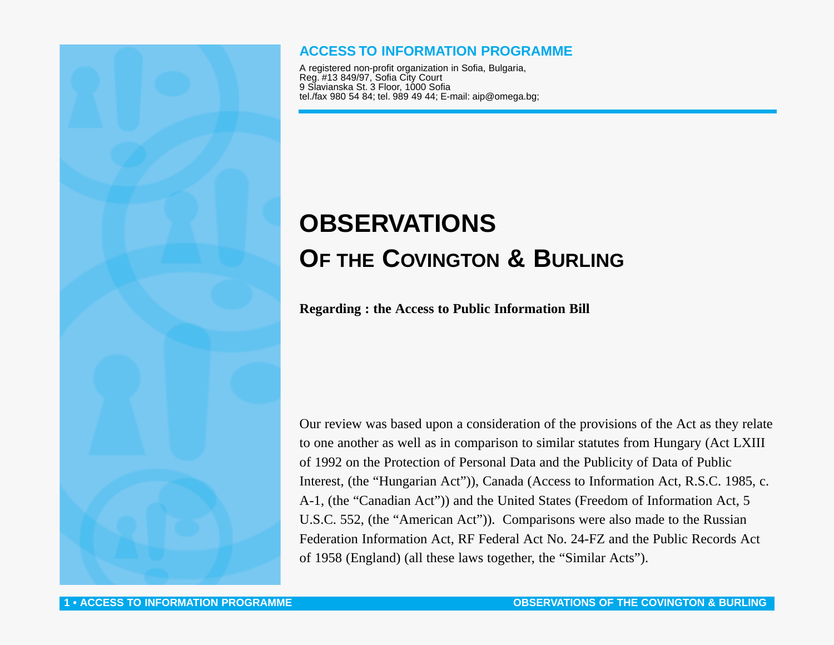## **ACCESS TO INFORMATION PROGRAMME**

A registered non-profit organization in Sofia, Bulgaria, Reg. #13 849/97, Sofia City Court 9 Slavianska St. 3 Floor, 1000 Sofia tel./fax 980 54 84; tel. 989 49 44; E-mail: aip@omega.bg;

# **OBSERVATIONS OF THE COVINGTON & BURLING**

**Regarding : the Access to Public Information Bill**

Our review was based upon a consideration of the provisions of the Act as they relate to one another as well as in comparison to similar statutes from Hungary (Act LXIII of 1992 on the Protection of Personal Data and the Publicity of Data of Public Interest, (the "Hungarian Act")), Canada (Access to Information Act, R.S.C. 1985, c. A-1, (the "Canadian Act")) and the United States (Freedom of Information Act, 5 U.S.C. 552, (the "American Act")). Comparisons were also made to the Russian Federation Information Act, RF Federal Act No. 24-FZ and the Public Records Act of 1958 (England) (all these laws together, the "Similar Acts").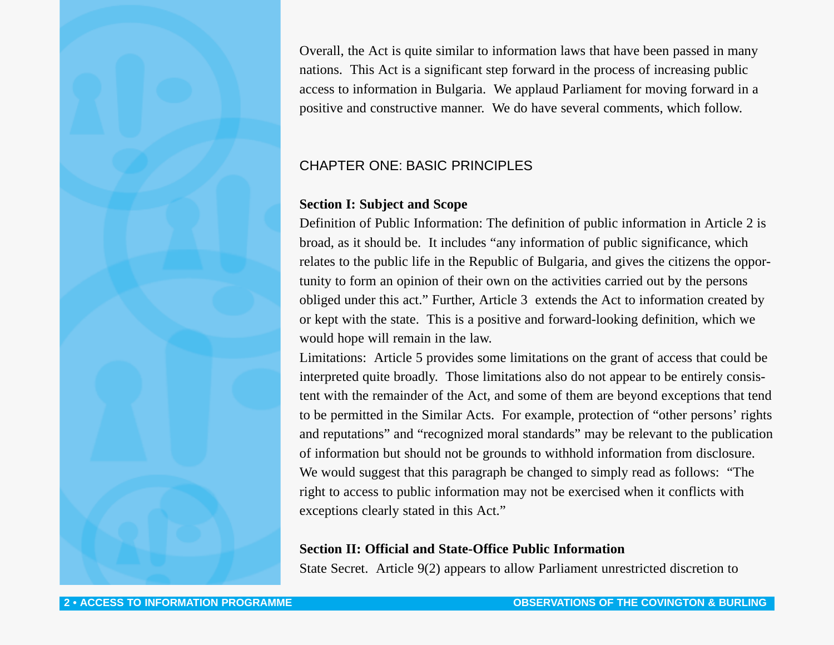Overall, the Act is quite similar to information laws that have been passed in many nations. This Act is a significant step forward in the process of increasing public access to information in Bulgaria. We applaud Parliament for moving forward in a positive and constructive manner. We do have several comments, which follow.

## CHAPTER ONE: BASIC PRINCIPLES

## **Section I: Subject and Scope**

Definition of Public Information: The definition of public information in Article 2 is broad, as it should be. It includes "any information of public significance, which relates to the public life in the Republic of Bulgaria, and gives the citizens the opportunity to form an opinion of their own on the activities carried out by the persons obliged under this act." Further, Article 3 extends the Act to information created by or kept with the state. This is a positive and forward-looking definition, which we would hope will remain in the law.

Limitations: Article 5 provides some limitations on the grant of access that could be interpreted quite broadly. Those limitations also do not appear to be entirely consistent with the remainder of the Act, and some of them are beyond exceptions that tend to be permitted in the Similar Acts. For example, protection of "other persons' rights and reputations" and "recognized moral standards" may be relevant to the publication of information but should not be grounds to withhold information from disclosure. We would suggest that this paragraph be changed to simply read as follows: "The right to access to public information may not be exercised when it conflicts with exceptions clearly stated in this Act."

## **Section II: Official and State-Office Public Information**

State Secret. Article 9(2) appears to allow Parliament unrestricted discretion to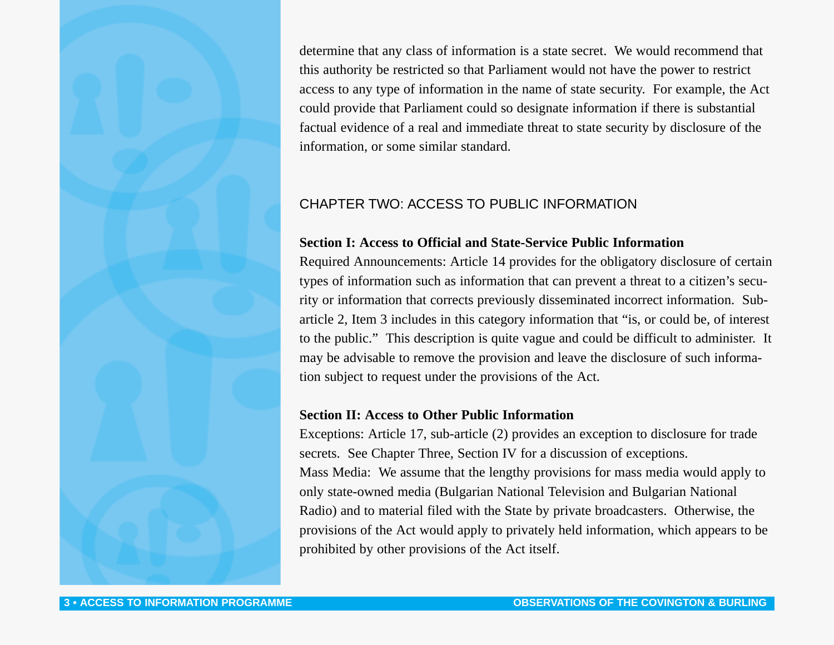determine that any class of information is a state secret. We would recommend that this authority be restricted so that Parliament would not have the power to restrict access to any type of information in the name of state security. For example, the Act could provide that Parliament could so designate information if there is substantial factual evidence of a real and immediate threat to state security by disclosure of the information, or some similar standard.

## CHAPTER TWO: ACCESS TO PUBLIC INFORMATION

## **Section I: Access to Official and State-Service Public Information**

Required Announcements: Article 14 provides for the obligatory disclosure of certain types of information such as information that can prevent a threat to a citizen's security or information that corrects previously disseminated incorrect information. Subarticle 2, Item 3 includes in this category information that "is, or could be, of interest to the public." This description is quite vague and could be difficult to administer. It may be advisable to remove the provision and leave the disclosure of such information subject to request under the provisions of the Act.

#### **Section II: Access to Other Public Information**

Exceptions: Article 17, sub-article (2) provides an exception to disclosure for trade secrets. See Chapter Three, Section IV for a discussion of exceptions. Mass Media: We assume that the lengthy provisions for mass media would apply to only state-owned media (Bulgarian National Television and Bulgarian National Radio) and to material filed with the State by private broadcasters. Otherwise, the provisions of the Act would apply to privately held information, which appears to be prohibited by other provisions of the Act itself.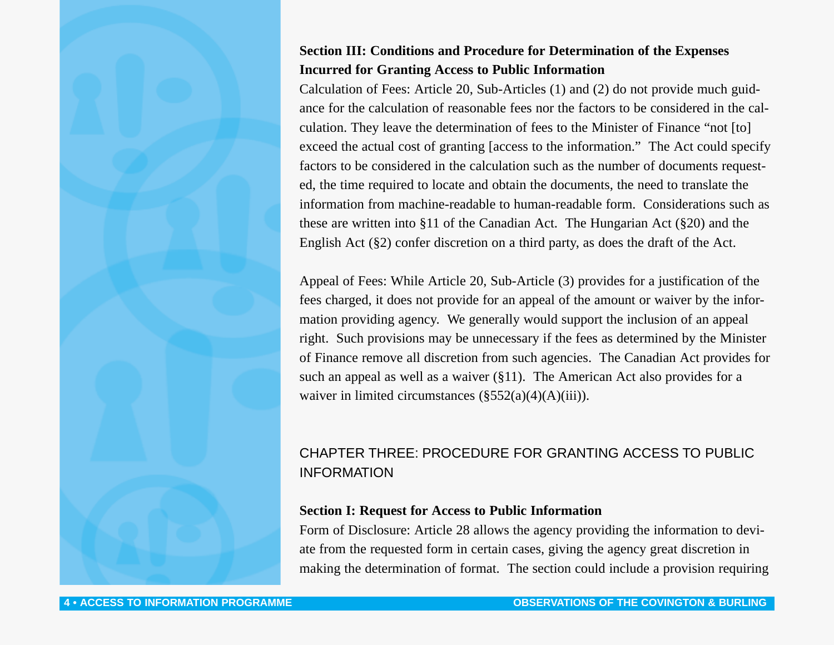## **Section III: Conditions and Procedure for Determination of the Expenses Incurred for Granting Access to Public Information**

Calculation of Fees: Article 20, Sub-Articles (1) and (2) do not provide much guidance for the calculation of reasonable fees nor the factors to be considered in the calculation. They leave the determination of fees to the Minister of Finance "not [to] exceed the actual cost of granting [access to the information." The Act could specify factors to be considered in the calculation such as the number of documents requested, the time required to locate and obtain the documents, the need to translate the information from machine-readable to human-readable form. Considerations such as these are written into §11 of the Canadian Act. The Hungarian Act (§20) and the English Act (§2) confer discretion on a third party, as does the draft of the Act.

Appeal of Fees: While Article 20, Sub-Article (3) provides for a justification of the fees charged, it does not provide for an appeal of the amount or waiver by the information providing agency. We generally would support the inclusion of an appeal right. Such provisions may be unnecessary if the fees as determined by the Minister of Finance remove all discretion from such agencies. The Canadian Act provides for such an appeal as well as a waiver (§11). The American Act also provides for a waiver in limited circumstances  $(\S 552(a)(4)(A)(iii))$ .

## CHAPTER THREE: PROCEDURE FOR GRANTING ACCESS TO PUBLIC INFORMATION

## **Section I: Request for Access to Public Information**

Form of Disclosure: Article 28 allows the agency providing the information to deviate from the requested form in certain cases, giving the agency great discretion in making the determination of format. The section could include a provision requiring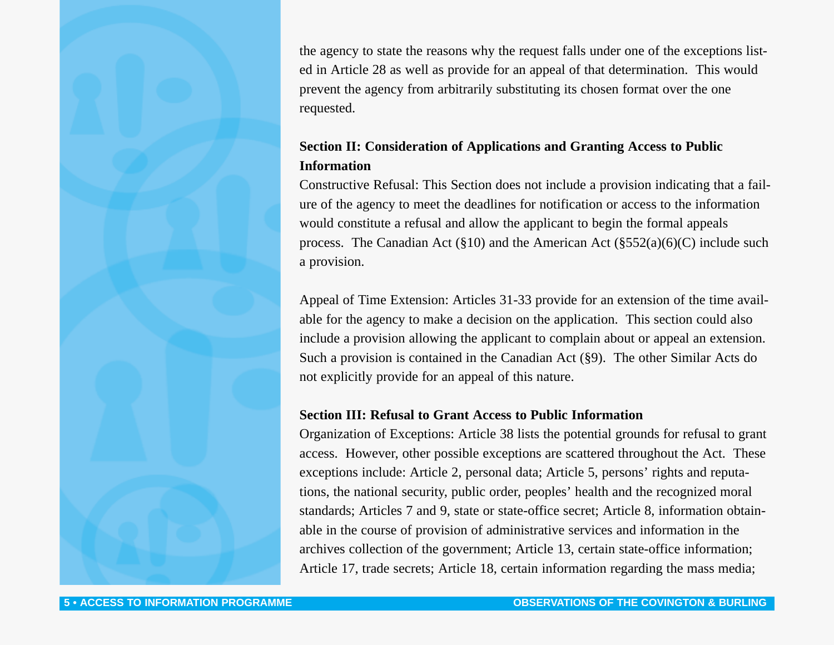the agency to state the reasons why the request falls under one of the exceptions listed in Article 28 as well as provide for an appeal of that determination. This would prevent the agency from arbitrarily substituting its chosen format over the one requested.

## **Section II: Consideration of Applications and Granting Access to Public Information**

Constructive Refusal: This Section does not include a provision indicating that a failure of the agency to meet the deadlines for notification or access to the information would constitute a refusal and allow the applicant to begin the formal appeals process. The Canadian Act ( $\S 10$ ) and the American Act ( $\S 552(a)(6)(C)$  include such a provision.

Appeal of Time Extension: Articles 31-33 provide for an extension of the time available for the agency to make a decision on the application. This section could also include a provision allowing the applicant to complain about or appeal an extension. Such a provision is contained in the Canadian Act (§9). The other Similar Acts do not explicitly provide for an appeal of this nature.

## **Section III: Refusal to Grant Access to Public Information**

Organization of Exceptions: Article 38 lists the potential grounds for refusal to grant access. However, other possible exceptions are scattered throughout the Act. These exceptions include: Article 2, personal data; Article 5, persons' rights and reputations, the national security, public order, peoples' health and the recognized moral standards; Articles 7 and 9, state or state-office secret; Article 8, information obtainable in the course of provision of administrative services and information in the archives collection of the government; Article 13, certain state-office information; Article 17, trade secrets; Article 18, certain information regarding the mass media;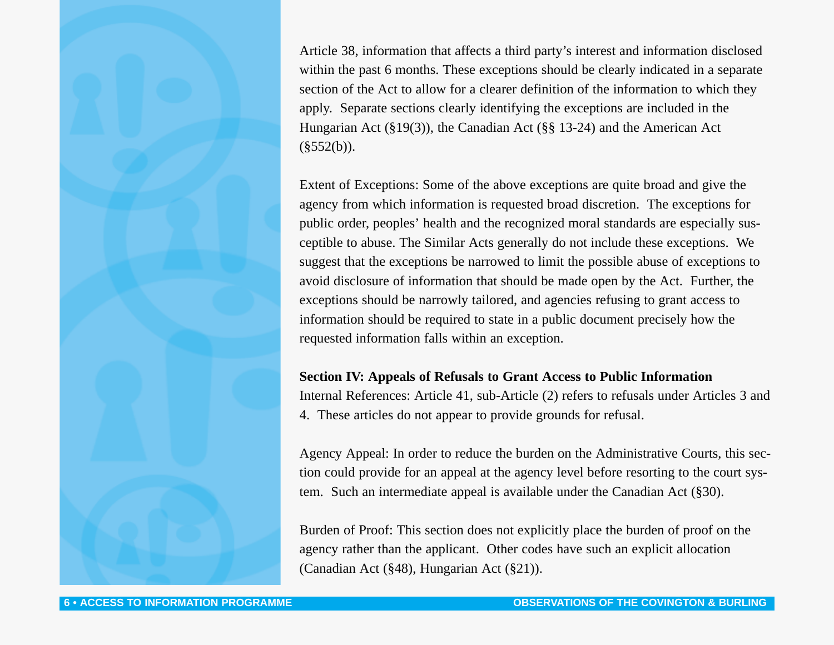Article 38, information that affects a third party's interest and information disclosed within the past 6 months. These exceptions should be clearly indicated in a separate section of the Act to allow for a clearer definition of the information to which they apply. Separate sections clearly identifying the exceptions are included in the Hungarian Act (§19(3)), the Canadian Act (§§ 13-24) and the American Act  $(\$552(b)).$ 

Extent of Exceptions: Some of the above exceptions are quite broad and give the agency from which information is requested broad discretion. The exceptions for public order, peoples' health and the recognized moral standards are especially susceptible to abuse. The Similar Acts generally do not include these exceptions. We suggest that the exceptions be narrowed to limit the possible abuse of exceptions to avoid disclosure of information that should be made open by the Act. Further, the exceptions should be narrowly tailored, and agencies refusing to grant access to information should be required to state in a public document precisely how the requested information falls within an exception.

#### **Section IV: Appeals of Refusals to Grant Access to Public Information**

Internal References: Article 41, sub-Article (2) refers to refusals under Articles 3 and 4. These articles do not appear to provide grounds for refusal.

Agency Appeal: In order to reduce the burden on the Administrative Courts, this section could provide for an appeal at the agency level before resorting to the court system. Such an intermediate appeal is available under the Canadian Act (§30).

Burden of Proof: This section does not explicitly place the burden of proof on the agency rather than the applicant. Other codes have such an explicit allocation (Canadian Act (§48), Hungarian Act (§21)).